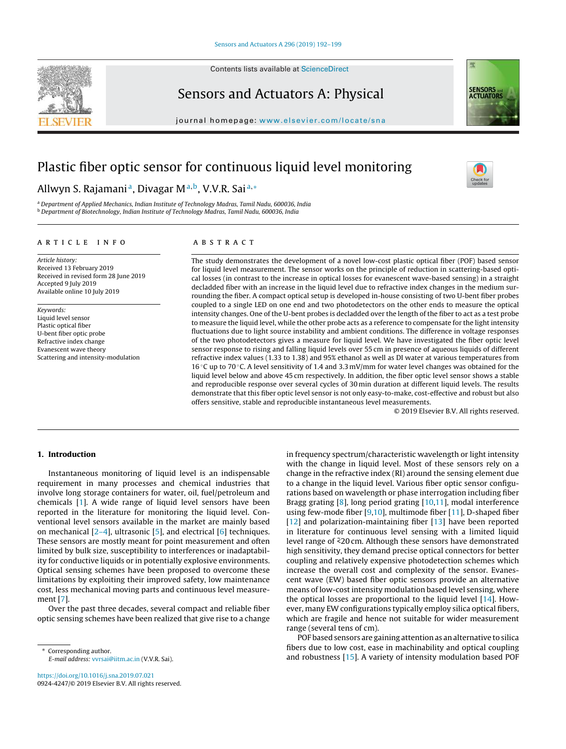

Contents lists available at [ScienceDirect](http://www.sciencedirect.com/science/journal/09244247)

# Sensors and Actuators A: Physical



journal homepage: [www.elsevier.com/locate/sna](http://www.elsevier.com/locate/sna)

# Plastic fiber optic sensor for continuous liquid level monitoring

# Allwyn S. Rajamani<u>a, Divagar Ma,b, V.V.R. Saia,\*</u>

<sup>a</sup> Department of Applied Mechanics, Indian Institute of Technology Madras, Tamil Nadu, 600036, India <sup>b</sup> Department of Biotechnology, Indian Institute of Technology Madras, Tamil Nadu, 600036, India

# a r t i c l e i n f o

Article history: Received 13 February 2019 Received in revised form 28 June 2019 Accepted 9 July 2019 Available online 10 July 2019

Keywords: Liquid level sensor Plastic optical fiber U-bent fiber optic probe Refractive index change Evanescent wave theory Scattering and intensity-modulation

# A B S T R A C T

The study demonstrates the development of a novel low-cost plastic optical fiber (POF) based sensor for liquid level measurement. The sensor works on the principle of reduction in scattering-based optical losses (in contrast to the increase in optical losses for evanescent wave-based sensing) in a straight decladded fiber with an increase in the liquid level due to refractive index changes in the medium surrounding the fiber. A compact optical setup is developed in-house consisting of two U-bent fiber probes coupled to a single LED on one end and two photodetectors on the other ends to measure the optical intensity changes. One of the U-bent probes is decladded over the length of the fiber to act as a test probe to measure the liquid level, while the other probe acts as a reference to compensate for the light intensity fluctuations due to light source instability and ambient conditions. The difference in voltage responses of the two photodetectors gives a measure for liquid level. We have investigated the fiber optic level sensor response to rising and falling liquid levels over 55 cm in presence of aqueous liquids of different refractive index values (1.33 to 1.38) and 95% ethanol as well as DI water at various temperatures from 16 ◦C up to 70 ◦C. A level sensitivity of 1.4 and 3.3 mV/mm for water level changes was obtained for the liquid level below and above 45 cm respectively. In addition, the fiber optic level sensor shows a stable and reproducible response over several cycles of 30 min duration at different liquid levels. The results demonstrate that this fiber optic level sensor is not only easy-to-make, cost-effective and robust but also offers sensitive, stable and reproducible instantaneous level measurements.

© 2019 Elsevier B.V. All rights reserved.

# 1. Introduction

Instantaneous monitoring of liquid level is an indispensable requirement in many processes and chemical industries that involve long storage containers for water, oil, fuel/petroleum and chemicals [\[1\].](#page-6-0) A wide range of liquid level sensors have been reported in the literature for monitoring the liquid level. Conventional level sensors available in the market are mainly based on mechanical  $[2-4]$ , ultrasonic  $[5]$ , and electrical  $[6]$  techniques. These sensors are mostly meant for point measurement and often limited by bulk size, susceptibility to interferences or inadaptability for conductive liquids or in potentially explosive environments. Optical sensing schemes have been proposed to overcome these limitations by exploiting their improved safety, low maintenance cost, less mechanical moving parts and continuous level measurement [\[7\].](#page-6-0)

Over the past three decades, several compact and reliable fiber optic sensing schemes have been realized that give rise to a change

<sup>∗</sup> Corresponding author. E-mail address: [vvrsai@iitm.ac.in](mailto:vvrsai@iitm.ac.in) (V.V.R. Sai).

<https://doi.org/10.1016/j.sna.2019.07.021> 0924-4247/© 2019 Elsevier B.V. All rights reserved.

in frequency spectrum/characteristic wavelength or light intensity with the change in liquid level. Most of these sensors rely on a change in the refractive index (RI) around the sensing element due to a change in the liquid level. Various fiber optic sensor configurations based on wavelength or phase interrogation including fiber Bragg grating  $[8]$ , long period grating  $[10,11]$ , modal interference using few-mode fiber  $[9,10]$ , multimode fiber  $[11]$ , D-shaped fiber [\[12\]](#page-6-0) and polarization-maintaining fiber [[13\]](#page-6-0) have been reported in literature for continuous level sensing with a limited liquid level range of  $\tilde{\le} 20$  cm. Although these sensors have demonstrated high sensitivity, they demand precise optical connectors for better coupling and relatively expensive photodetection schemes which increase the overall cost and complexity of the sensor. Evanescent wave (EW) based fiber optic sensors provide an alternative means of low-cost intensity modulation based level sensing, where the optical losses are proportional to the liquid level [[14\].](#page-6-0) However, many EW configurations typically employ silica optical fibers, which are fragile and hence not suitable for wider measurement range (several tens of cm).

POF based sensors are gaining attention as an alternative to silica fibers due to low cost, ease in machinability and optical coupling and robustness [\[15\].](#page-6-0) A variety of intensity modulation based POF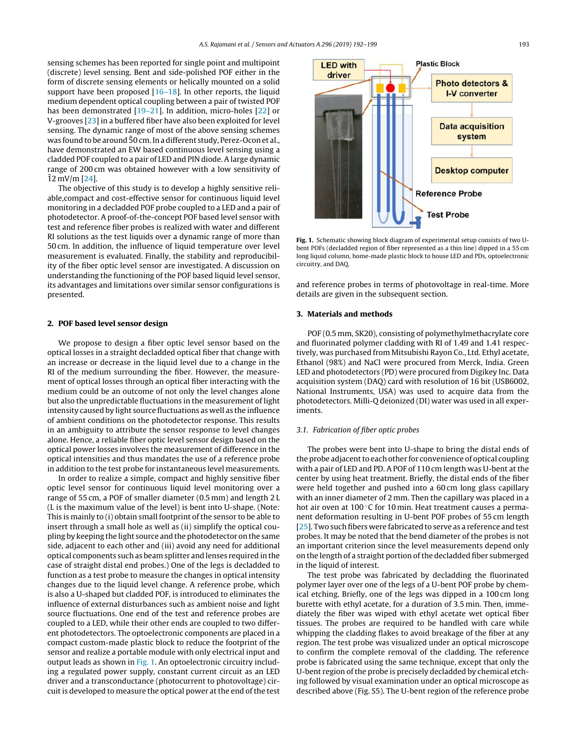<span id="page-1-0"></span>sensing schemes has been reported for single point and multipoint (discrete) level sensing. Bent and side-polished POF either in the form of discrete sensing elements or helically mounted on a solid support have been proposed  $[16-18]$ . In other reports, the liquid medium dependent optical coupling between a pair of twisted POF has been demonstrated [[19–21\].](#page-6-0) In addition, micro-holes [[22\]](#page-6-0) or V-grooves [\[23\]](#page-6-0) in a buffered fiber have also been exploited for level sensing. The dynamic range of most of the above sensing schemes was found to be around 50 cm. In a different study, Perez-Ocon et al., have demonstrated an EW based continuous level sensing using a cladded POF coupled to a pair of LED and PIN diode. A large dynamic range of 200 cm was obtained however with a low sensitivity of  $12 \text{ mV/m}$  [[24\].](#page-6-0)

The objective of this study is to develop a highly sensitive reliable,compact and cost-effective sensor for continuous liquid level monitoring in a decladded POF probe coupled to a LED and a pair of photodetector. A proof-of-the-concept POF based level sensor with test and reference fiber probes is realized with water and different RI solutions as the test liquids over a dynamic range of more than 50 cm. In addition, the influence of liquid temperature over level measurement is evaluated. Finally, the stability and reproducibility of the fiber optic level sensor are investigated. A discussion on understanding the functioning of the POF based liquid level sensor, its advantages and limitations over similar sensor configurations is presented.

# 2. POF based level sensor design

We propose to design a fiber optic level sensor based on the optical losses in a straight decladded optical fiber that change with an increase or decrease in the liquid level due to a change in the RI of the medium surrounding the fiber. However, the measurement of optical losses through an optical fiber interacting with the medium could be an outcome of not only the level changes alone but also the unpredictable fluctuations in the measurement of light intensity caused by light source fluctuations as well as the influence of ambient conditions on the photodetector response. This results in an ambiguity to attribute the sensor response to level changes alone. Hence, a reliable fiber optic level sensor design based on the optical power losses involves the measurement of difference in the optical intensities and thus mandates the use of a reference probe in addition to the test probe for instantaneous level measurements.

In order to realize a simple, compact and highly sensitive fiber optic level sensor for continuous liquid level monitoring over a range of 55 cm, a POF of smaller diameter (0.5 mm) and length 2 L (L is the maximum value of the level) is bent into U-shape. (Note: This is mainly to (i) obtain small footprint of the sensor to be able to insert through a small hole as well as (ii) simplify the optical coupling by keeping the light source and the photodetector on the same side, adjacent to each other and (iii) avoid any need for additional optical components such as beam splitter and lenses required in the case of straight distal end probes.) One of the legs is decladded to function as a test probe to measure the changes in optical intensity changes due to the liquid level change. A reference probe, which is also a U-shaped but cladded POF, is introduced to eliminates the influence of external disturbances such as ambient noise and light source fluctuations. One end of the test and reference probes are coupled to a LED, while their other ends are coupled to two different photodetectors. The optoelectronic components are placed in a compact custom-made plastic block to reduce the footprint of the sensor and realize a portable module with only electrical input and output leads as shown in Fig. 1. An optoelectronic circuitry including a regulated power supply, constant current circuit as an LED driver and a transconductance (photocurrent to photovoltage) circuit is developed to measure the optical power at the end of the test



Fig. 1. Schematic showing block diagram of experimental setup consists of two Ubent POFs (decladded region of fiber represented as a thin line) dipped in a 55 cm long liquid column, home-made plastic block to house LED and PDs, optoelectronic circuitry, and DAQ.

and reference probes in terms of photovoltage in real-time. More details are given in the subsequent section.

# 3. Materials and methods

POF (0.5 mm, SK20), consisting of polymethylmethacrylate core and fluorinated polymer cladding with RI of 1.49 and 1.41 respectively, was purchased from Mitsubishi Rayon Co., Ltd. Ethyl acetate, Ethanol (98%) and NaCl were procured from Merck, India. Green LED and photodetectors (PD) were procured from Digikey Inc. Data acquisition system (DAQ) card with resolution of 16 bit (USB6002, National Instruments, USA) was used to acquire data from the photodetectors. Milli-Q deionized (DI) water was used in all experiments.

#### 3.1. Fabrication of fiber optic probes

The probes were bent into U-shape to bring the distal ends of the probe adjacent to each other for convenience of optical coupling with a pair of LED and PD. A POF of 110 cm length was U-bent at the center by using heat treatment. Briefly, the distal ends of the fiber were held together and pushed into a 60 cm long glass capillary with an inner diameter of 2 mm. Then the capillary was placed in a hot air oven at 100 ℃ for 10 min. Heat treatment causes a permanent deformation resulting in U-bent POF probes of 55 cm length [\[25\].](#page-6-0) Two such fibers were fabricated to serve as a reference and test probes. It may be noted that the bend diameter of the probes is not an important criterion since the level measurements depend only on the length of a straight portion of the decladded fiber submerged in the liquid of interest.

The test probe was fabricated by decladding the fluorinated polymer layer over one of the legs of a U-bent POF probe by chemical etching. Briefly, one of the legs was dipped in a 100 cm long burette with ethyl acetate, for a duration of 3.5 min. Then, immediately the fiber was wiped with ethyl acetate wet optical fiber tissues. The probes are required to be handled with care while whipping the cladding flakes to avoid breakage of the fiber at any region. The test probe was visualized under an optical microscope to confirm the complete removal of the cladding. The reference probe is fabricated using the same technique, except that only the U-bent region of the probe is precisely decladded by chemical etching followed by visual examination under an optical microscope as described above (Fig. S5). The U-bent region of the reference probe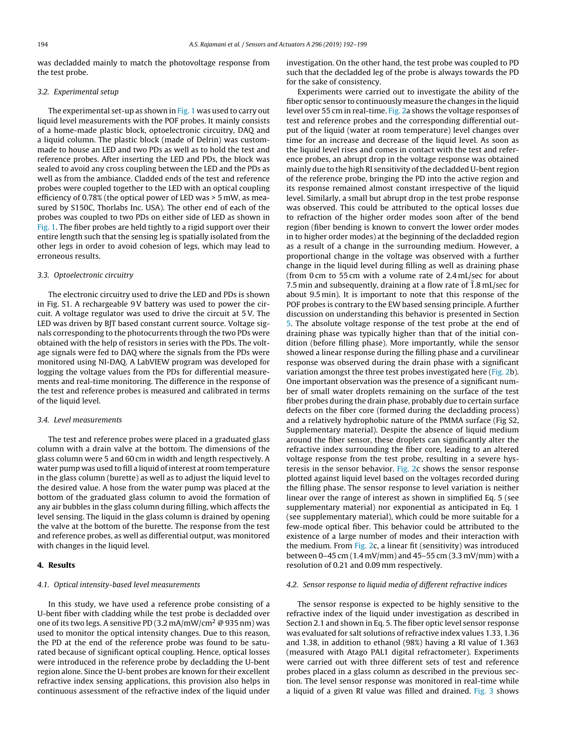was decladded mainly to match the photovoltage response from the test probe.

#### 3.2. Experimental setup

The experimental set-up as shown in [Fig.](#page-1-0) 1 was used to carry out liquid level measurements with the POF probes. It mainly consists of a home-made plastic block, optoelectronic circuitry, DAQ and a liquid column. The plastic block (made of Delrin) was custommade to house an LED and two PDs as well as to hold the test and reference probes. After inserting the LED and PDs, the block was sealed to avoid any cross coupling between the LED and the PDs as well as from the ambiance. Cladded ends of the test and reference probes were coupled together to the LED with an optical coupling efficiency of 0.78% (the optical power of LED was > 5 mW, as measured by S150C, Thorlabs Inc. USA). The other end of each of the probes was coupled to two PDs on either side of LED as shown in [Fig.](#page-1-0) 1. The fiber probes are held tightly to a rigid support over their entire length such that the sensing leg is spatially isolated from the other legs in order to avoid cohesion of legs, which may lead to erroneous results.

#### 3.3. Optoelectronic circuitry

The electronic circuitry used to drive the LED and PDs is shown in Fig. S1. A rechargeable 9V battery was used to power the circuit. A voltage regulator was used to drive the circuit at 5V. The LED was driven by BJT based constant current source. Voltage signals corresponding to the photocurrents through the two PDs were obtained with the help of resistors in series with the PDs. The voltage signals were fed to DAQ where the signals from the PDs were monitored using NI-DAQ. A LabVIEW program was developed for logging the voltage values from the PDs for differential measurements and real-time monitoring. The difference in the response of the test and reference probes is measured and calibrated in terms of the liquid level.

#### 3.4. Level measurements

The test and reference probes were placed in a graduated glass column with a drain valve at the bottom. The dimensions of the glass column were 5 and 60 cm in width and length respectively. A water pump was used to fill a liquid of interest at room temperature in the glass column (burette) as well as to adjust the liquid level to the desired value. A hose from the water pump was placed at the bottom of the graduated glass column to avoid the formation of any air bubbles in the glass column during filling, which affects the level sensing. The liquid in the glass column is drained by opening the valve at the bottom of the burette. The response from the test and reference probes, as well as differential output, was monitored with changes in the liquid level.

# 4. Results

#### 4.1. Optical intensity-based level measurements

In this study, we have used a reference probe consisting of a U-bent fiber with cladding while the test probe is decladded over one of its two legs. A sensitive PD  $(3.2 \text{ mA/mW/cm}^2 \text{ @ } 935 \text{ nm})$  was used to monitor the optical intensity changes. Due to this reason, the PD at the end of the reference probe was found to be saturated because of significant optical coupling. Hence, optical losses were introduced in the reference probe by decladding the U-bent region alone. Since the U-bent probes are known for their excellent refractive index sensing applications, this provision also helps in continuous assessment of the refractive index of the liquid under

investigation. On the other hand, the test probe was coupled to PD such that the decladded leg of the probe is always towards the PD for the sake of consistency.

Experiments were carried out to investigate the ability of the fiber optic sensor to continuously measure the changes in the liquid level over 55 cm in real-time. [Fig.](#page-3-0) 2a shows the voltage responses of test and reference probes and the corresponding differential output of the liquid (water at room temperature) level changes over time for an increase and decrease of the liquid level. As soon as the liquid level rises and comes in contact with the test and reference probes, an abrupt drop in the voltage response was obtained mainly due to the high RI sensitivity of the decladded U-bent region of the reference probe, bringing the PD into the active region and its response remained almost constant irrespective of the liquid level. Similarly, a small but abrupt drop in the test probe response was observed. This could be attributed to the optical losses due to refraction of the higher order modes soon after of the bend region (fiber bending is known to convert the lower order modes in to higher order modes) at the beginning of the decladded region as a result of a change in the surrounding medium. However, a proportional change in the voltage was observed with a further change in the liquid level during filling as well as draining phase (from 0 cm to 55 cm with a volume rate of 2.4 mL/sec for about 7.5 min and subsequently, draining at a flow rate of  $\overline{1.8}$  mL/sec for about 9.5 min). It is important to note that this response of the POF probes is contrary to the EW based sensing principle. A further discussion on understanding this behavior is presented in Section [5.](#page-4-0) The absolute voltage response of the test probe at the end of draining phase was typically higher than that of the initial condition (before filling phase). More importantly, while the sensor showed a linear response during the filling phase and a curvilinear response was observed during the drain phase with a significant variation amongst the three test probes investigated here [\(Fig.](#page-3-0) 2b). One important observation was the presence of a significant number of small water droplets remaining on the surface of the test fiber probes during the drain phase, probably due to certain surface defects on the fiber core (formed during the decladding process) and a relatively hydrophobic nature of the PMMA surface (Fig S2, Supplementary material). Despite the absence of liquid medium around the fiber sensor, these droplets can significantly alter the refractive index surrounding the fiber core, leading to an altered voltage response from the test probe, resulting in a severe hysteresis in the sensor behavior. [Fig.](#page-3-0) 2c shows the sensor response plotted against liquid level based on the voltages recorded during the filling phase. The sensor response to level variation is neither linear over the range of interest as shown in simplified Eq. 5 (see supplementary material) nor exponential as anticipated in Eq. 1 (see supplementary material), which could be more suitable for a few-mode optical fiber. This behavior could be attributed to the existence of a large number of modes and their interaction with the medium. From [Fig.](#page-3-0) 2c, a linear fit (sensitivity) was introduced between 0–45 cm (1.4 mV/mm) and 45–55 cm (3.3 mV/mm) with a resolution of 0.21 and 0.09 mm respectively.

#### 4.2. Sensor response to liquid media of different refractive indices

The sensor response is expected to be highly sensitive to the refractive index of the liquid under investigation as described in Section 2.1 and shown in Eq. 5. The fiber optic level sensor response was evaluated for salt solutions of refractive index values 1.33, 1.36 and 1.38, in addition to ethanol (98%) having a RI value of 1.363 (measured with Atago PAL1 digital refractometer). Experiments were carried out with three different sets of test and reference probes placed in a glass column as described in the previous section. The level sensor response was monitored in real-time while a liquid of a given RI value was filled and drained. [Fig.](#page-3-0) 3 shows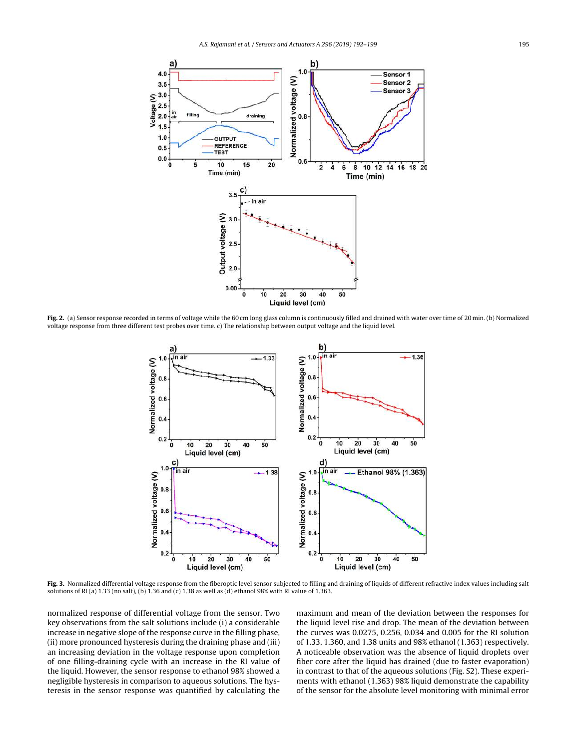<span id="page-3-0"></span>

Fig. 2. (a) Sensor response recorded in terms of voltage while the 60 cm long glass column is continuously filled and drained with water over time of 20 min. (b) Normalized voltage response from three different test probes over time. c) The relationship between output voltage and the liquid level.



Fig. 3. Normalized differential voltage response from the fiberoptic level sensor subjected to filling and draining of liquids of different refractive index values including salt solutions of RI (a) 1.33 (no salt), (b) 1.36 and (c) 1.38 as well as (d) ethanol 98% with RI value of 1.363.

normalized response of differential voltage from the sensor. Two key observations from the salt solutions include (i) a considerable increase in negative slope of the response curve in the filling phase, (ii) more pronounced hysteresis during the draining phase and (iii) an increasing deviation in the voltage response upon completion of one filling-draining cycle with an increase in the RI value of the liquid. However, the sensor response to ethanol 98% showed a negligible hysteresis in comparison to aqueous solutions. The hysteresis in the sensor response was quantified by calculating the

maximum and mean of the deviation between the responses for the liquid level rise and drop. The mean of the deviation between the curves was 0.0275, 0.256, 0.034 and 0.005 for the RI solution of 1.33, 1.360, and 1.38 units and 98% ethanol (1.363) respectively. A noticeable observation was the absence of liquid droplets over fiber core after the liquid has drained (due to faster evaporation) in contrast to that of the aqueous solutions (Fig. S2). These experiments with ethanol (1.363) 98% liquid demonstrate the capability of the sensor for the absolute level monitoring with minimal error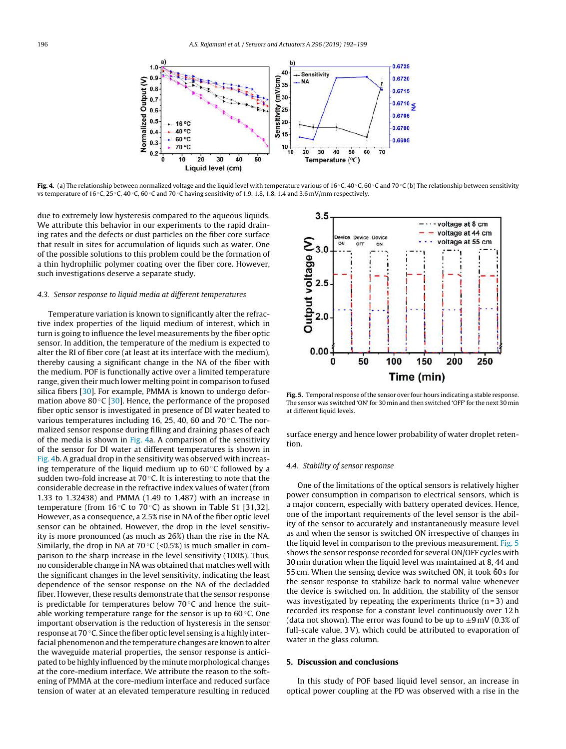<span id="page-4-0"></span>

Fig. 4. (a) The relationship between normalized voltage and the liquid level with temperature various of 16 °C, 40 °C, 60 °C and 70 °C (b) The relationship between sensitivity vs temperature of 16 °C, 25 °C, 40 °C, 60 °C and 70 °C having sensitivity of 1.9, 1.8, 1.8, 1.4 and 3.6 mV/mm respectively.

due to extremely low hysteresis compared to the aqueous liquids. We attribute this behavior in our experiments to the rapid draining rates and the defects or dust particles on the fiber core surface that result in sites for accumulation of liquids such as water. One of the possible solutions to this problem could be the formation of a thin hydrophilic polymer coating over the fiber core. However, such investigations deserve a separate study.

#### 4.3. Sensor response to liquid media at different temperatures

Temperature variation is known to significantly alter the refractive index properties of the liquid medium of interest, which in turn is going to influence the level measurements by the fiber optic sensor. In addition, the temperature of the medium is expected to alter the RI of fiber core (at least at its interface with the medium), thereby causing a significant change in the NA of the fiber with the medium. POF is functionally active over a limited temperature range, given their much lower melting point in comparison to fused silica fibers [[30\].](#page-6-0) For example, PMMA is known to undergo deformation above 80 $\degree$ C [[30\].](#page-6-0) Hence, the performance of the proposed fiber optic sensor is investigated in presence of DI water heated to various temperatures including 16, 25, 40, 60 and 70 ◦C. The normalized sensor response during filling and draining phases of each of the media is shown in Fig. 4a. A comparison of the sensitivity of the sensor for DI water at different temperatures is shown in Fig. 4b. A gradual drop in the sensitivity was observed with increasing temperature of the liquid medium up to  $60^{\circ}$ C followed by a sudden two-fold increase at  $70^{\circ}$ C. It is interesting to note that the considerable decrease in the refractive index values of water (from 1.33 to 1.32438) and PMMA (1.49 to 1.487) with an increase in temperature (from 16 $\degree$ C to 70 $\degree$ C) as shown in Table S1 [31,32]. However, as a consequence, a 2.5% rise in NA of the fiber optic level sensor can be obtained. However, the drop in the level sensitivity is more pronounced (as much as 26%) than the rise in the NA. Similarly, the drop in NA at 70 $\degree$ C (<0.5%) is much smaller in comparison to the sharp increase in the level sensitivity (100%). Thus, no considerable change in NA was obtained that matches well with the significant changes in the level sensitivity, indicating the least dependence of the sensor response on the NA of the decladded fiber. However, these results demonstrate that the sensor response is predictable for temperatures below  $70^{\circ}$ C and hence the suitable working temperature range for the sensor is up to  $60^{\circ}$ C. One important observation is the reduction of hysteresis in the sensor response at 70 ◦C. Since the fiber optic level sensing is a highly interfacial phenomenon and the temperature changes are known to alter the waveguide material properties, the sensor response is anticipated to be highly influenced by the minute morphological changes at the core-medium interface. We attribute the reason to the softening of PMMA at the core-medium interface and reduced surface tension of water at an elevated temperature resulting in reduced



Fig. 5. Temporal response ofthe sensor over four hours indicating a stable response. The sensor was switched 'ON' for 30 min and then switched 'OFF' for the next 30 min at different liquid levels.

surface energy and hence lower probability of water droplet retention.

## 4.4. Stability of sensor response

One of the limitations of the optical sensors is relatively higher power consumption in comparison to electrical sensors, which is a major concern, especially with battery operated devices. Hence, one of the important requirements of the level sensor is the ability of the sensor to accurately and instantaneously measure level as and when the sensor is switched ON irrespective of changes in the liquid level in comparison to the previous measurement. Fig. 5 shows the sensor response recorded for several ON/OFF cycles with 30 min duration when the liquid level was maintained at 8, 44 and 55 cm. When the sensing device was switched ON, it took 60s for the sensor response to stabilize back to normal value whenever the device is switched on. In addition, the stability of the sensor was investigated by repeating the experiments thrice  $(n=3)$  and recorded its response for a constant level continuously over 12 h (data not shown). The error was found to be up to  $\pm 9$  mV (0.3% of full-scale value, 3V), which could be attributed to evaporation of water in the glass column.

#### 5. Discussion and conclusions

In this study of POF based liquid level sensor, an increase in optical power coupling at the PD was observed with a rise in the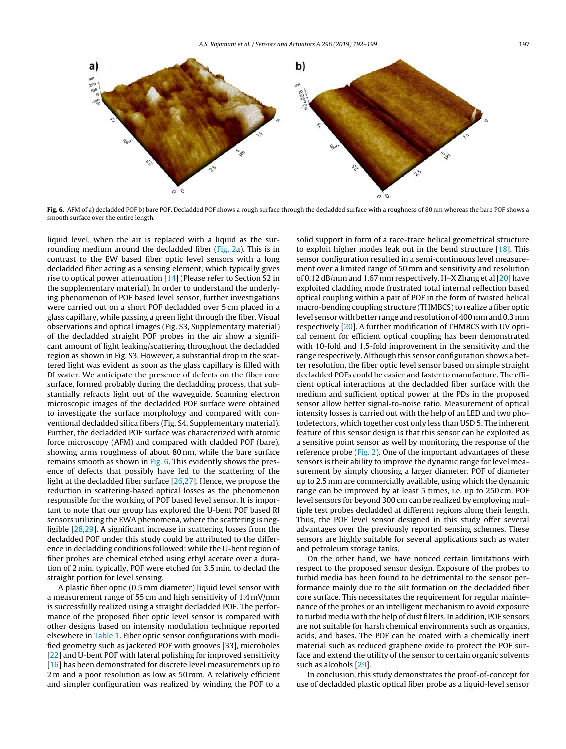

Fig. 6. AFM of a) decladded POF b) bare POF. Decladded POF shows a rough surface through the decladded surface with a roughness of 80 nm whereas the bare POF shows a smooth surface over the entire length.

liquid level, when the air is replaced with a liquid as the surrounding medium around the decladded fiber [\(Fig.](#page-3-0) 2a). This is in contrast to the EW based fiber optic level sensors with a long decladded fiber acting as a sensing element, which typically gives rise to optical power attenuation [\[14\]](#page-6-0) (Please refer to Section S2 in the supplementary material). In order to understand the underlying phenomenon of POF based level sensor, further investigations were carried out on a short POF decladded over 5 cm placed in a glass capillary, while passing a green light through the fiber. Visual observations and optical images (Fig. S3, Supplementary material) of the decladded straight POF probes in the air show a significant amount of light leaking/scattering throughout the decladded region as shown in Fig. S3. However, a substantial drop in the scattered light was evident as soon as the glass capillary is filled with DI water. We anticipate the presence of defects on the fiber core surface, formed probably during the decladding process, that substantially refracts light out of the waveguide. Scanning electron microscopic images of the decladded POF surface were obtained to investigate the surface morphology and compared with conventional decladded silica fibers (Fig. S4, Supplementary material). Further, the decladded POF surface was characterized with atomic force microscopy (AFM) and compared with cladded POF (bare), showing arms roughness of about 80 nm, while the bare surface remains smooth as shown in Fig. 6. This evidently shows the presence of defects that possibly have led to the scattering of the light at the decladded fiber surface [[26,27\].](#page-6-0) Hence, we propose the reduction in scattering-based optical losses as the phenomenon responsible for the working of POF based level sensor. It is important to note that our group has explored the U-bent POF based RI sensors utilizing the EWA phenomena, where the scattering is negligible [[28,29\].](#page-6-0) A significant increase in scattering losses from the decladded POF under this study could be attributed to the difference in decladding conditions followed: while the U-bent region of fiber probes are chemical etched using ethyl acetate over a duration of 2 min. typically, POF were etched for 3.5 min. to declad the straight portion for level sensing.

A plastic fiber optic (0.5 mm diameter) liquid level sensor with a measurement range of 55 cm and high sensitivity of 1.4 mV/mm is successfully realized using a straight decladded POF. The performance of the proposed fiber optic level sensor is compared with other designs based on intensity modulation technique reported elsewhere in [Table](#page-6-0) 1. Fiber optic sensor configurations with modified geometry such as jacketed POF with grooves [33], microholes [[22\]](#page-6-0) and U-bent POF with lateral polishing for improved sensitivity [[16\]](#page-6-0) has been demonstrated for discrete level measurements up to 2 m and a poor resolution as low as 50 mm. A relatively efficient and simpler configuration was realized by winding the POF to a

solid support in form of a race-trace helical geometrical structure to exploit higher modes leak out in the bend structure [[18\].](#page-6-0) This sensor configuration resulted in a semi-continuous level measurement over a limited range of 50 mm and sensitivity and resolution of 0.12 dB/mm and 1.67 mm respectively. H-X Zhang et al  $[20]$  $[20]$  have exploited cladding mode frustrated total internal reflection based optical coupling within a pair of POF in the form of twisted helical macro-bending coupling structure (THMBCS) to realize a fiber optic level sensor with better range and resolution of 400 mm and 0.3 mm respectively [\[20\].](#page-6-0) A further modification of THMBCS with UV optical cement for efficient optical coupling has been demonstrated with 10-fold and 1.5-fold improvement in the sensitivity and the range respectively. Although this sensor configuration shows a better resolution, the fiber optic level sensor based on simple straight decladded POFs could be easier and faster to manufacture. The efficient optical interactions at the decladded fiber surface with the medium and sufficient optical power at the PDs in the proposed sensor allow better signal-to-noise ratio. Measurement of optical intensity losses is carried out with the help of an LED and two photodetectors, which together cost only less than USD 5. The inherent feature of this sensor design is that this sensor can be exploited as a sensitive point sensor as well by monitoring the response of the reference probe ([Fig.](#page-3-0) 2). One of the important advantages of these sensors is their ability to improve the dynamic range for level measurement by simply choosing a larger diameter. POF of diameter up to 2.5 mm are commercially available, using which the dynamic range can be improved by at least 5 times, i.e. up to 250 cm. POF level sensors for beyond 300 cm can be realized by employing multiple test probes decladded at different regions along their length. Thus, the POF level sensor designed in this study offer several advantages over the previously reported sensing schemes. These sensors are highly suitable for several applications such as water and petroleum storage tanks.

On the other hand, we have noticed certain limitations with respect to the proposed sensor design. Exposure of the probes to turbid media has been found to be detrimental to the sensor performance mainly due to the silt formation on the decladded fiber core surface. This necessitates the requirement for regular maintenance of the probes or an intelligent mechanism to avoid exposure to turbid media with the help of dust filters. In addition, POF sensors are not suitable for harsh chemical environments such as organics, acids, and bases. The POF can be coated with a chemically inert material such as reduced graphene oxide to protect the POF surface and extend the utility of the sensor to certain organic solvents such as alcohols [\[29\].](#page-6-0)

In conclusion, this study demonstrates the proof-of-concept for use of decladded plastic optical fiber probe as a liquid-level sensor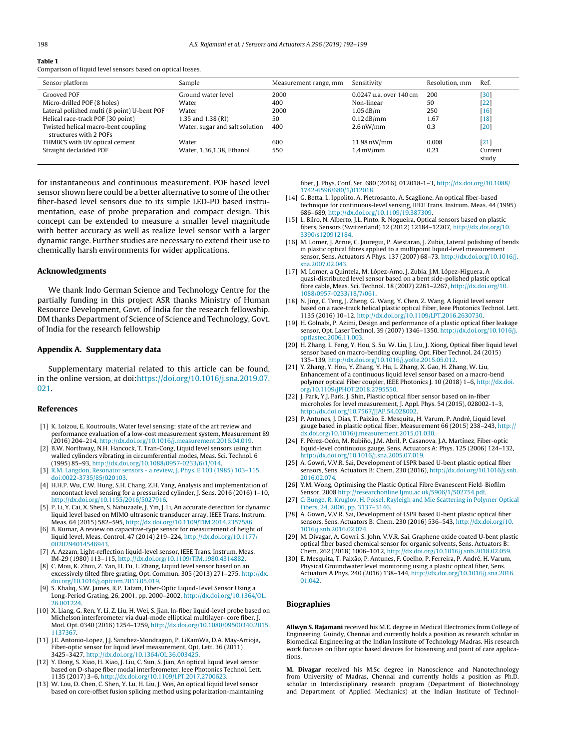<span id="page-6-0"></span>Comparison of liquid level sensors based on optical losses.

| Sensor platform                                               | Sample                         | Measurement range, mm | Sensitivity               | Resolution, mm | Ref.             |
|---------------------------------------------------------------|--------------------------------|-----------------------|---------------------------|----------------|------------------|
| Grooved POF                                                   | Ground water level             | 2000                  | $0.0247$ u.a. over 140 cm | 200            | [30]             |
| Micro-drilled POF (8 holes)                                   | Water                          | 400                   | Non-linear                | 50             | [22              |
| Lateral polished multi (8 point) U-bent POF                   | Water                          | 2000                  | $1.05$ dB/m               | 250            | $[16]$           |
| Helical race-track POF (30 point)                             | 1.35 and 1.38 (RI)             | 50                    | $0.12$ dB/mm              | 1.67           | [18]             |
| Twisted helical macro-bent coupling<br>structures with 2 POFs | Water, sugar and salt solution | 400                   | $2.6 \text{ nW/mm}$       | 0.3            | $[20]$           |
| THMBCS with UV optical cement                                 | Water                          | 600                   | 11.98 nW/mm               | 0.008          | [21]             |
| Straight decladded POF                                        | Water, 1.36.1.38. Ethanol      | 550                   | $1.4 \,\mathrm{mV/mm}$    | 0.21           | Current<br>study |

for instantaneous and continuous measurement. POF based level sensor shown here could be a better alternative to some of the other fiber-based level sensors due to its simple LED-PD based instrumentation, ease of probe preparation and compact design. This concept can be extended to measure a smaller level magnitude with better accuracy as well as realize level sensor with a larger dynamic range. Further studies are necessary to extend their use to chemically harsh environments for wider applications.

### Acknowledgments

We thank Indo German Science and Technology Centre for the partially funding in this project ASR thanks Ministry of Human Resource Development, Govt. of India for the research fellowship. DM thanks Department of Science of Science and Technology, Govt. of India for the research fellowship

# Appendix A. Supplementary data

Supplementary material related to this article can be found, in the online version, at doi: [https://doi.org/10.1016/j.sna.2019.07.](https://doi.org/10.1016/j.sna.2019.07.021) [021](https://doi.org/10.1016/j.sna.2019.07.021).

#### References

- [1] K. Loizou, E. Koutroulis, Water level sensing: state of the art review and performance evaluation of a low-cost measurement system, Measurement 89 (2016) 204–214, [http://dx.doi.org/10.1016/j.measurement.2016.04.019.](dx.doi.org/10.1016/j.measurement.2016.04.019)
- [2] B.W. Northway, N.H. Hancock, T. Tran-Cong, Liquid level sensors using thin walled cylinders vibrating in circumferential modes, Meas. Sci. Technol. 6 (1995) 85–93, [http://dx.doi.org/10.1088/0957-0233/6/1/014.](dx.doi.org/10.1088/0957-0233/6/1/014)
- [3] R.M. Langdon, Resonator sensors a review, J. Phys. E 103 (1985) 103–115, doi:0022-3735/85/020103.
- [4] H.H.P. Wu, C.W. Hung, S.H. Chang, Z.H. Yang, Analysis and implementation of noncontact level sensing for a pressurized cylinder, J. Sens. 2016 (2016) 1–10, [http://dx.doi.org/10.1155/2016/5027916](dx.doi.org/10.1155/2016/5027916).
- [5] P. Li, Y. Cai, X. Shen, S. Nabuzaale, J. Yin, J. Li, An accurate detection for dynamic liquid level based on MIMO ultrasonic transducer array, IEEE Trans. Instrum. Meas. 64 (2015) 582–595, [http://dx.doi.org/10.1109/TIM.2014.2357586.](dx.doi.org/10.1109/TIM.2014.2357586)
- [6] B. Kumar, A review on capacitive-type sensor for measurement of height of liquid level, Meas. Control. 47 (2014) 219–224, [http://dx.doi.org/10.1177/](dx.doi.org/10.1177/0020294014546943) [0020294014546943](dx.doi.org/10.1177/0020294014546943).
- A. Azzam, Light-reflection liquid-level sensor, IEEE Trans. Instrum. Meas. IM-29 (1980) 113–115, [http://dx.doi.org/10.1109/TIM.1980.4314882](dx.doi.org/10.1109/TIM.1980.4314882).
- [8] C. Mou, K. Zhou, Z. Yan, H. Fu, L. Zhang, Liquid level sensor based on an excessively tilted fibre grating, Opt. Commun. 305 (2013) 271–275, [http://dx.](dx.doi.org/10.1016/j.optcom.2013.05.019) [doi.org/10.1016/j.optcom.2013.05.019.](dx.doi.org/10.1016/j.optcom.2013.05.019)
- S. Khaliq, S.W. James, R.P. Tatam, Fiber-Optic Liquid-Level Sensor Using a Long-Period Grating, 26, 2001, pp. 2000–2002, [http://dx.doi.org/10.1364/OL.](dx.doi.org/10.1364/OL.26.001224) [26.001224](dx.doi.org/10.1364/OL.26.001224).
- [10] X. Liang, G. Ren, Y. Li, Z. Liu, H. Wei, S. Jian, In-fiber liquid-level probe based on Michelson interferometer via dual-mode elliptical multilayer- core fiber, J. Mod. Opt. 0340 (2016) 1254–1259, [http://dx.doi.org/10.1080/09500340.2015.](dx.doi.org/10.1080/09500340.2015.1137367) [1137367.](dx.doi.org/10.1080/09500340.2015.1137367)
- [11] J.E. Antonio-Lopez, J.J. Sanchez-Mondragon, P. LiKamWa, D.A. May-Arrioja, Fiber-optic sensor for liquid level measurement, Opt. Lett. 36 (2011) 3425–3427, [http://dx.doi.org/10.1364/OL.36.003425](dx.doi.org/10.1364/OL.36.003425).
- [12] Y. Dong, S. Xiao, H. Xiao, J. Liu, C. Sun, S. Jian, An optical liquid level sensor based on D-shape fiber modal interferometer, Ieee Photonics Technol. Lett. 1135 (2017) 3–6, [http://dx.doi.org/10.1109/LPT.2017.2700623](dx.doi.org/10.1109/LPT.2017.2700623).
- [13] W. Lou, D. Chen, C. Shen, Y. Lu, H. Liu, J. Wei, An optical liquid level sensor based on core-offset fusion splicing method using polarization-maintaining

fiber, J. Phys. Conf. Ser. 680 (2016), 012018-1–3, [http://dx.doi.org/10.1088/](dx.doi.org/10.1088/1742-6596/680/1/012018) [1742-6596/680/1/012018](dx.doi.org/10.1088/1742-6596/680/1/012018).

- [14] G. Betta, L. Ippolito, A. Pietrosanto, A. Scaglione, An optical fiber-based technique for continuous-level sensing, IEEE Trans. Instrum. Meas. 44 (1995) 686–689, [http://dx.doi.org/10.1109/19.387309](dx.doi.org/10.1109/19.387309).
- [15] L. Bilro, N. Alberto, J.L. Pinto, R. Nogueira, Optical sensors based on plastic fibers, Sensors (Switzerland) 12 (2012) 12184–12207, [http://dx.doi.org/10.](dx.doi.org/10.3390/s120912184) [3390/s120912184.](dx.doi.org/10.3390/s120912184)
- [16] M. Lomer, J. Arrue, C. Jauregui, P. Aiestaran, J. Zubia, Lateral polishing of bends in plastic optical fibres applied to a multipoint liquid-level measurement sensor, Sens. Actuators A Phys. 137 (2007) 68–73, [http://dx.doi.org/10.1016/j.](dx.doi.org/10.1016/j.sna.2007.02.043) [sna.2007.02.043](dx.doi.org/10.1016/j.sna.2007.02.043).
- [17] M. Lomer, a Quintela, M. López-Amo, J. Zubia, J.M. López-Higuera, A quasi-distributed level sensor based on a bent side-polished plastic optical fibre cable, Meas. Sci. Technol. 18 (2007) 2261–2267, [http://dx.doi.org/10.](dx.doi.org/10.1088/0957-0233/18/7/061) [1088/0957-0233/18/7/061.](dx.doi.org/10.1088/0957-0233/18/7/061)
- [18] N. Jing, C. Teng, J. Zheng, G. Wang, Y. Chen, Z. Wang, A liquid level sensor based on a race-track helical plastic optical Fiber, Ieee Photonics Technol. Lett. 1135 (2016) 10–12, [http://dx.doi.org/10.1109/LPT.2016.2630730](dx.doi.org/10.1109/LPT.2016.2630730).
- [19] H. Golnabi, P. Azimi, Design and performance of a plastic optical fiber leakage sensor, Opt. Laser Technol. 39 (2007) 1346–1350, [http://dx.doi.org/10.1016/j.](dx.doi.org/10.1016/j.optlastec.2006.11.003) [optlastec.2006.11.003](dx.doi.org/10.1016/j.optlastec.2006.11.003).
- [20] H. Zhang, L. Feng, Y. Hou, S. Su, W. Liu, J. Liu, J. Xiong, Optical fiber liquid level sensor based on macro-bending coupling, Opt. Fiber Technol. 24 (2015) 135–139, [http://dx.doi.org/10.1016/j.yofte.2015.05.012.](dx.doi.org/10.1016/j.yofte.2015.05.012)
- [21] Y. Zhang, Y. Hou, Y. Zhang, Y. Hu, L. Zhang, X. Gao, H. Zhang, W. Liu, Enhancement of a continuous liquid level sensor based on a macro-bend polymer optical Fiber coupler, IEEE Photonics J. 10 (2018) 1–6, [http://dx.doi.](dx.doi.org/10.1109/JPHOT.2018.2795550) [org/10.1109/JPHOT.2018.2795550](dx.doi.org/10.1109/JPHOT.2018.2795550).
- [22] J. Park, Y.J. Park, J. Shin, Plastic optical fiber sensor based on in-fiber microholes for level measurement, J. Appl. Phys. 54 (2015), 028002-1–3, [http://dx.doi.org/10.7567/JJAP.54.028002](dx.doi.org/10.7567/JJAP.54.028002).
- [23] P. Antunes, J. Dias, T. Paixão, E. Mesquita, H. Varum, P. André, Liquid level gauge based in plastic optical fiber, Measurement 66 (2015) 238–243, [http://](dx.doi.org/10.1016/j.measurement.2015.01.030) <dx.doi.org/10.1016/j.measurement.2015.01.030>.
- [24] F. Pérez-Ocón, M. Rubiño, J.M. Abril, P. Casanova, J.A. Martínez, Fiber-optic liquid-level continuous gauge, Sens. Actuators A: Phys. 125 (2006) 124–132, [http://dx.doi.org/10.1016/j.sna.2005.07.019](dx.doi.org/10.1016/j.sna.2005.07.019).
- [25] A. Gowri, V.V.R. Sai, Development of LSPR based U-bent plastic optical fiber sensors, Sens. Actuators B: Chem. 230 (2016), [http://dx.doi.org/10.1016/j.snb.](dx.doi.org/10.1016/j.snb.2016.02.074) [2016.02.074](dx.doi.org/10.1016/j.snb.2016.02.074).
- [26] Y.M. Wong, Optimising the Plastic Optical Fibre Evanescent Field· Biofilm Sensor, 2008 <http://researchonline.ljmu.ac.uk/5906/1/502754.pdf>.
- [27] C. Bunge, R. Kruglov, H. Poisel, Rayleigh and Mie Scattering in Polymer Optical Fibers, 24, 2006, pp. 3137–3146.
- [28] A. Gowri, V.V.R. Sai, Development of LSPR based U-bent plastic optical fiber sensors, Sens. Actuators B: Chem. 230 (2016) 536–543, [http://dx.doi.org/10.](dx.doi.org/10.1016/j.snb.2016.02.074) [1016/j.snb.2016.02.074.](dx.doi.org/10.1016/j.snb.2016.02.074)
- [29] M. Divagar, A. Gowri, S. John, V.V.R. Sai, Graphene oxide coated U-bent plastic optical fiber based chemical sensor for organic solvents, Sens. Actuators B: Chem. 262 (2018) 1006–1012, [http://dx.doi.org/10.1016/j.snb.2018.02.059](dx.doi.org/10.1016/j.snb.2018.02.059).
- E. Mesquita, T. Paixão, P. Antunes, F. Coelho, P. Ferreira, P. André, H. Varum, Physical Groundwater level monitoring using a plastic optical fiber, Sens. Actuators A Phys. 240 (2016) 138–144, [http://dx.doi.org/10.1016/j.sna.2016.](dx.doi.org/10.1016/j.sna.2016.01.042) [01.042](dx.doi.org/10.1016/j.sna.2016.01.042).

# Biographies

Allwyn S. Rajamani received his M.E. degree in Medical Electronics from College of Engineering, Guindy, Chennai and currently holds a position as research scholar in Biomedical Engineering at the Indian Institute of Technology Madras. His research work focuses on fiber optic based devices for biosensing and point of care applications.

M. Divagar received his M.Sc degree in Nanoscience and Nanotechnology from University of Madras, Chennai and currently holds a position as Ph.D. scholar in Interdisciplinary research program (Department of Biotechnology and Department of Applied Mechanics) at the Indian Institute of Technol